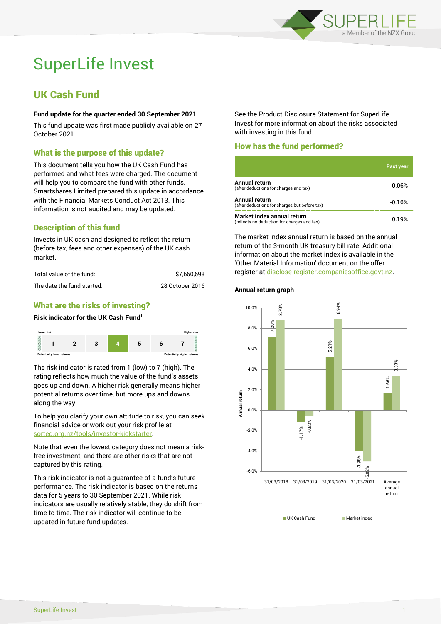

# SuperLife Invest

# UK Cash Fund

#### **Fund update for the quarter ended 30 September 2021**

This fund update was first made publicly available on 27 October 2021.

# What is the purpose of this update?

This document tells you how the UK Cash Fund has performed and what fees were charged. The document will help you to compare the fund with other funds. Smartshares Limited prepared this update in accordance with the Financial Markets Conduct Act 2013. This information is not audited and may be updated.

# Description of this fund

Invests in UK cash and designed to reflect the return (before tax, fees and other expenses) of the UK cash market.

| Total value of the fund:   | \$7.660.698     |
|----------------------------|-----------------|
| The date the fund started: | 28 October 2016 |

# What are the risks of investing?

#### **Risk indicator for the UK Cash Fund<sup>1</sup>**



The risk indicator is rated from 1 (low) to 7 (high). The rating reflects how much the value of the fund's assets goes up and down. A higher risk generally means higher potential returns over time, but more ups and downs along the way.

To help you clarify your own attitude to risk, you can seek financial advice or work out your risk profile at [sorted.org.nz/tools/investor-kickstarter.](http://www.sorted.org.nz/tools/investor-kickstarter)

Note that even the lowest category does not mean a riskfree investment, and there are other risks that are not captured by this rating.

This risk indicator is not a guarantee of a fund's future performance. The risk indicator is based on the returns data for 5 years to 30 September 2021. While risk indicators are usually relatively stable, they do shift from time to time. The risk indicator will continue to be updated in future fund updates.

See the Product Disclosure Statement for SuperLife Invest for more information about the risks associated with investing in this fund.

# How has the fund performed?

|                                                                           | <b>Past year</b> |
|---------------------------------------------------------------------------|------------------|
| Annual return<br>(after deductions for charges and tax)                   | $-0.06%$         |
| Annual return<br>(after deductions for charges but before tax)            | $-0.16%$         |
| Market index annual return<br>(reflects no deduction for charges and tax) | 0.19%            |

The market index annual return is based on the annual return of the 3-month UK treasury bill rate. Additional information about the market index is available in the 'Other Material Information' document on the offer register a[t disclose-register.companiesoffice.govt.nz.](http://www.disclose-register.companiesoffice.govt.nz/)

# **Annual return graph**



UK Cash Fund Market index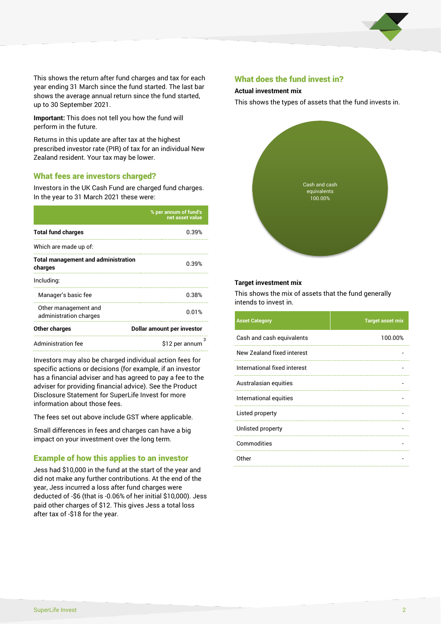

This shows the return after fund charges and tax for each year ending 31 March since the fund started. The last bar shows the average annual return since the fund started, up to 30 September 2021.

**Important:** This does not tell you how the fund will perform in the future.

Returns in this update are after tax at the highest prescribed investor rate (PIR) of tax for an individual New Zealand resident. Your tax may be lower.

# What fees are investors charged?

Investors in the UK Cash Fund are charged fund charges. In the year to 31 March 2021 these were:

|                                                       | % per annum of fund's<br>net asset value |  |
|-------------------------------------------------------|------------------------------------------|--|
| <b>Total fund charges</b>                             | 0.39%                                    |  |
| Which are made up of:                                 |                                          |  |
| <b>Total management and administration</b><br>charges | 0.39%                                    |  |
| Including:                                            |                                          |  |
| Manager's basic fee                                   | 0.38%                                    |  |
| Other management and<br>administration charges        | 0.01%                                    |  |
| Other charges                                         | Dollar amount per investor               |  |
| Administration fee                                    | з<br>\$12 per annum                      |  |

Investors may also be charged individual action fees for specific actions or decisions (for example, if an investor has a financial adviser and has agreed to pay a fee to the adviser for providing financial advice). See the Product Disclosure Statement for SuperLife Invest for more information about those fees.

The fees set out above include GST where applicable.

Small differences in fees and charges can have a big impact on your investment over the long term.

# Example of how this applies to an investor

Jess had \$10,000 in the fund at the start of the year and did not make any further contributions. At the end of the year, Jess incurred a loss after fund charges were deducted of -\$6 (that is -0.06% of her initial \$10,000). Jess paid other charges of \$12. This gives Jess a total loss after tax of -\$18 for the year.

#### What does the fund invest in?

#### **Actual investment mix**

This shows the types of assets that the fund invests in.



#### **Target investment mix**

This shows the mix of assets that the fund generally intends to invest in.

| <b>Asset Category</b>        | <b>Target asset mix</b> |
|------------------------------|-------------------------|
| Cash and cash equivalents    | 100.00%                 |
| New Zealand fixed interest   |                         |
| International fixed interest |                         |
| Australasian equities        |                         |
| International equities       |                         |
| Listed property              |                         |
| Unlisted property            |                         |
| Commodities                  |                         |
| Other                        |                         |